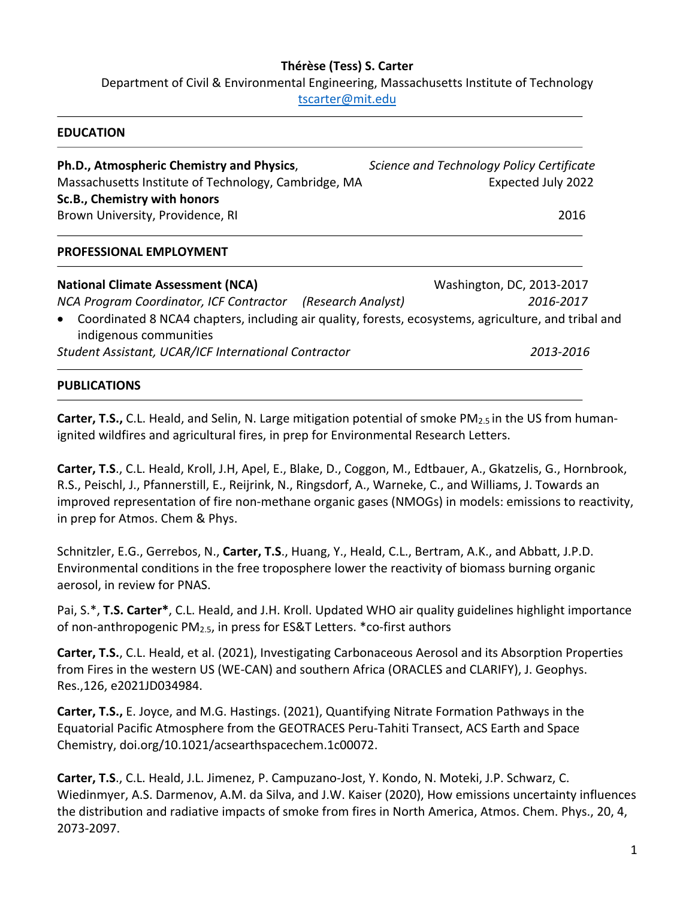### **Thérèse (Tess) S. Carter**

Department of Civil & Environmental Engineering, Massachusetts Institute of Technology

tscarter@mit.edu

#### **EDUCATION**

**Ph.D., Atmospheric Chemistry and Physics**, *Science and Technology Policy Certificate* Massachusetts Institute of Technology, Cambridge, MA Expected July 2022 **Sc.B., Chemistry with honors** Brown University, Providence, RI 2016

### **PROFESSIONAL EMPLOYMENT**

**National Climate Assessment (NCA)** Washington, DC, 2013-2017 *NCA Program Coordinator, ICF Contractor (Research Analyst) 2016-2017*

• Coordinated 8 NCA4 chapters, including air quality, forests, ecosystems, agriculture, and tribal and indigenous communities

*Student Assistant, UCAR/ICF International Contractor**2013-2016*

### **PUBLICATIONS**

**Carter, T.S.,** C.L. Heald, and Selin, N. Large mitigation potential of smoke PM2.5 in the US from humanignited wildfires and agricultural fires, in prep for Environmental Research Letters.

**Carter, T.S**., C.L. Heald, Kroll, J.H, Apel, E., Blake, D., Coggon, M., Edtbauer, A., Gkatzelis, G., Hornbrook, R.S., Peischl, J., Pfannerstill, E., Reijrink, N., Ringsdorf, A., Warneke, C., and Williams, J. Towards an improved representation of fire non-methane organic gases (NMOGs) in models: emissions to reactivity, in prep for Atmos. Chem & Phys.

Schnitzler, E.G., Gerrebos, N., **Carter, T.S**., Huang, Y., Heald, C.L., Bertram, A.K., and Abbatt, J.P.D. Environmental conditions in the free troposphere lower the reactivity of biomass burning organic aerosol, in review for PNAS.

Pai, S.\*, **T.S. Carter\***, C.L. Heald, and J.H. Kroll. Updated WHO air quality guidelines highlight importance of non-anthropogenic PM2.5, in press for ES&T Letters. \*co-first authors

**Carter, T.S.**, C.L. Heald, et al. (2021), Investigating Carbonaceous Aerosol and its Absorption Properties from Fires in the western US (WE-CAN) and southern Africa (ORACLES and CLARIFY), J. Geophys. Res.,126, e2021JD034984.

**Carter, T.S.,** E. Joyce, and M.G. Hastings. (2021), Quantifying Nitrate Formation Pathways in the Equatorial Pacific Atmosphere from the GEOTRACES Peru-Tahiti Transect, ACS Earth and Space Chemistry, doi.org/10.1021/acsearthspacechem.1c00072.

**Carter, T.S**., C.L. Heald, J.L. Jimenez, P. Campuzano-Jost, Y. Kondo, N. Moteki, J.P. Schwarz, C. Wiedinmyer, A.S. Darmenov, A.M. da Silva, and J.W. Kaiser (2020), How emissions uncertainty influences the distribution and radiative impacts of smoke from fires in North America, Atmos. Chem. Phys., 20, 4, 2073-2097.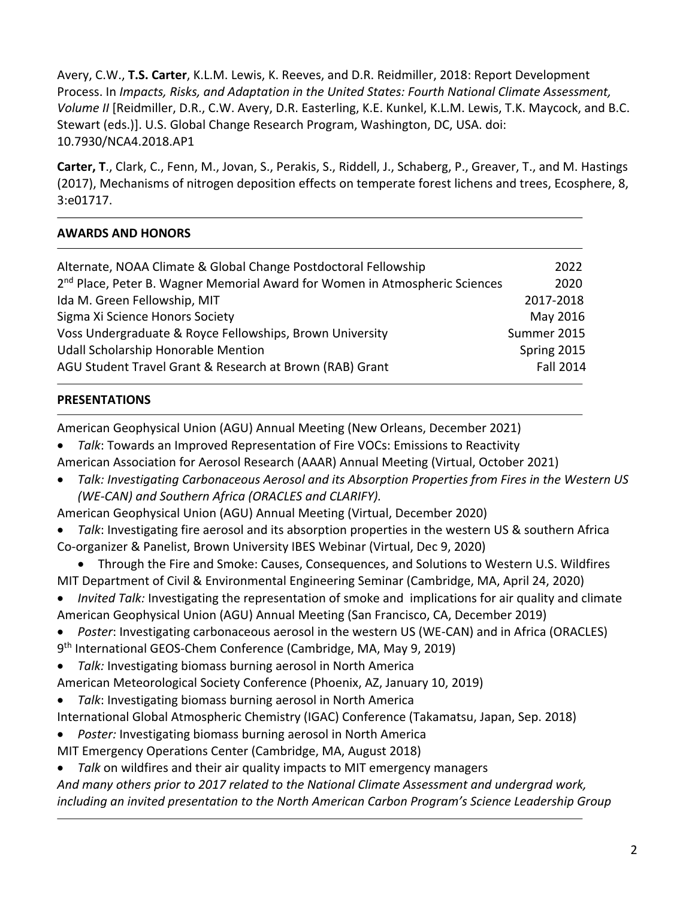Avery, C.W., **T.S. Carter**, K.L.M. Lewis, K. Reeves, and D.R. Reidmiller, 2018: Report Development Process. In *Impacts, Risks, and Adaptation in the United States: Fourth National Climate Assessment, Volume II* [Reidmiller, D.R., C.W. Avery, D.R. Easterling, K.E. Kunkel, K.L.M. Lewis, T.K. Maycock, and B.C. Stewart (eds.)]. U.S. Global Change Research Program, Washington, DC, USA. doi: 10.7930/NCA4.2018.AP1

**Carter, T**., Clark, C., Fenn, M., Jovan, S., Perakis, S., Riddell, J., Schaberg, P., Greaver, T., and M. Hastings (2017), Mechanisms of nitrogen deposition effects on temperate forest lichens and trees, Ecosphere, 8, 3:e01717.

## **AWARDS AND HONORS**

| Alternate, NOAA Climate & Global Change Postdoctoral Fellowship                         | 2022             |
|-----------------------------------------------------------------------------------------|------------------|
| 2 <sup>nd</sup> Place, Peter B. Wagner Memorial Award for Women in Atmospheric Sciences | 2020             |
| Ida M. Green Fellowship, MIT                                                            | 2017-2018        |
| Sigma Xi Science Honors Society                                                         | May 2016         |
| Voss Undergraduate & Royce Fellowships, Brown University                                | Summer 2015      |
| <b>Udall Scholarship Honorable Mention</b>                                              | Spring 2015      |
| AGU Student Travel Grant & Research at Brown (RAB) Grant                                | <b>Fall 2014</b> |
|                                                                                         |                  |

### **PRESENTATIONS**

American Geophysical Union (AGU) Annual Meeting (New Orleans, December 2021)

- *Talk*: Towards an Improved Representation of Fire VOCs: Emissions to Reactivity
- American Association for Aerosol Research (AAAR) Annual Meeting (Virtual, October 2021)
- *Talk: Investigating Carbonaceous Aerosol and its Absorption Properties from Fires in the Western US (WE-CAN) and Southern Africa (ORACLES and CLARIFY).*
- American Geophysical Union (AGU) Annual Meeting (Virtual, December 2020)
- *Talk*: Investigating fire aerosol and its absorption properties in the western US & southern Africa

Co-organizer & Panelist, Brown University IBES Webinar (Virtual, Dec 9, 2020)

• Through the Fire and Smoke: Causes, Consequences, and Solutions to Western U.S. Wildfires MIT Department of Civil & Environmental Engineering Seminar (Cambridge, MA, April 24, 2020)

• *Invited Talk:* Investigating the representation of smoke and implications for air quality and climate American Geophysical Union (AGU) Annual Meeting (San Francisco, CA, December 2019)

- *Poster*: Investigating carbonaceous aerosol in the western US (WE-CAN) and in Africa (ORACLES) 9th International GEOS-Chem Conference (Cambridge, MA, May 9, 2019)
- *Talk:* Investigating biomass burning aerosol in North America
- American Meteorological Society Conference (Phoenix, AZ, January 10, 2019)
- *Talk*: Investigating biomass burning aerosol in North America

International Global Atmospheric Chemistry (IGAC) Conference (Takamatsu, Japan, Sep. 2018)

• *Poster:* Investigating biomass burning aerosol in North America

MIT Emergency Operations Center (Cambridge, MA, August 2018)

• *Talk* on wildfires and their air quality impacts to MIT emergency managers

*And many others prior to 2017 related to the National Climate Assessment and undergrad work, including an invited presentation to the North American Carbon Program's Science Leadership Group*